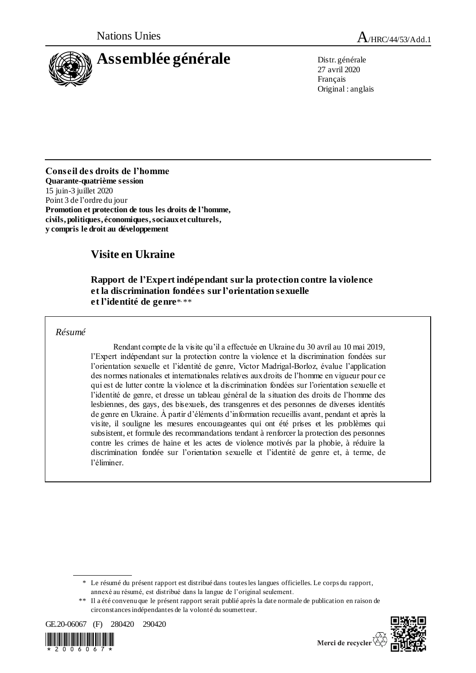



27 avril 2020 Français Original : anglais

**Conseil des droits de l'homme Quarante-quatrième session** 15 juin-3 juillet 2020 Point 3 de l'ordre du jour **Promotion et protection de tous les droits de l'homme, civils, politiques, économiques, sociaux et culturels, y compris le droit au développement**

# **Visite en Ukraine**

## **Rapport de l'Expert indépendant sur la protection contre la violence et la discrimination fondées sur l'orientation sexuelle**  et l'identité de genre\*<sub>\*\*\*</sub>

## *Résumé*

Rendant compte de la visite qu'il a effectuée en Ukraine du 30 avril au 10 mai 2019, l'Expert indépendant sur la protection contre la violence et la discrimination fondées sur l'orientation sexuelle et l'identité de genre, Victor Madrigal-Borloz, évalue l'application des normes nationales et internationales relatives aux droits de l'homme en vigueur pour ce qui est de lutter contre la violence et la discrimination fondées sur l'orientation sexuelle et l'identité de genre, et dresse un tableau général de la situation des droits de l'homme des lesbiennes, des gays, des bisexuels, des transgenres et des personnes de diverses identités de genre en Ukraine. À partir d'éléments d'information recueillis avant, pendant et après la visite, il souligne les mesures encourageantes qui ont été prises et les problèmes qui subsistent, et formule des recommandations tendant à renforcer la protection des personnes contre les crimes de haine et les actes de violence motivés par la phobie, à réduire la discrimination fondée sur l'orientation sexuelle et l'identité de genre et, à terme, de l'éliminer.

<sup>\*\*</sup> Il a été convenu que le présent rapport serait publié après la date normale de publication en raison de circonstances indépendantes de la volonté du soumetteur.







<sup>\*</sup> Le résumé du présent rapport est distribué dans toutes les langues officielles. Le corps du rapport, annexé au résumé, est distribué dans la langue de l'original seulement.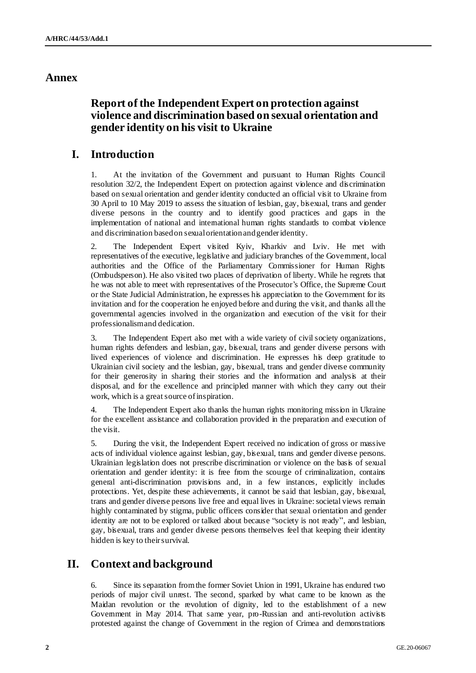## **Annex**

# **Report of the Independent Expert on protection against violence and discrimination based on sexual orientation and gender identity on his visit to Ukraine**

# **I. Introduction**

1. At the invitation of the Government and pursuant to Human Rights Council resolution 32/2, the Independent Expert on protection against violence and discrimination based on sexual orientation and gender identity conducted an official visit to Ukraine from 30 April to 10 May 2019 to assess the situation of lesbian, gay, bisexual, trans and gender diverse persons in the country and to identify good practices and gaps in the implementation of national and international human rights standards to combat violence and discrimination based on sexual orientation and gender identity.

The Independent Expert visited Kyiv, Kharkiv and Lviv. He met with representatives of the executive, legislative and judiciary branches of the Government, local authorities and the Office of the Parliamentary Commissioner for Human Rights (Ombudsperson). He also visited two places of deprivation of liberty. While he regrets that he was not able to meet with representatives of the Prosecutor's Office, the Supreme Court or the State Judicial Administration, he expresses his appreciation to the Government for its invitation and for the cooperation he enjoyed before and during the visit, and thanks all the governmental agencies involved in the organization and execution of the visit for their professionalism and dedication.

3. The Independent Expert also met with a wide variety of civil society organizations, human rights defenders and lesbian, gay, bisexual, trans and gender diverse persons with lived experiences of violence and discrimination. He expresses his deep gratitude to Ukrainian civil society and the lesbian, gay, bisexual, trans and gender diverse community for their generosity in sharing their stories and the information and analysis at their disposal, and for the excellence and principled manner with which they carry out their work, which is a great source of inspiration.

4. The Independent Expert also thanks the human rights monitoring mission in Ukraine for the excellent assistance and collaboration provided in the preparation and execution of the visit.

5. During the visit, the Independent Expert received no indication of gross or massive acts of individual violence against lesbian, gay, bisexual, trans and gender diverse persons. Ukrainian legislation does not prescribe discrimination or violence on the basis of sexual orientation and gender identity: it is free from the scourge of criminalization, contains general anti-discrimination provisions and, in a few instances, explicitly includes protections. Yet, despite these achievements, it cannot be said that lesbian, gay, bisexual, trans and gender diverse persons live free and equal lives in Ukraine: societal views remain highly contaminated by stigma, public officers consider that sexual orientation and gender identity are not to be explored or talked about because "society is not ready", and lesbian, gay, bisexual, trans and gender diverse persons themselves feel that keeping their identity hidden is key to their survival.

# **II. Context and background**

Since its separation from the former Soviet Union in 1991, Ukraine has endured two periods of major civil unrest. The second, sparked by what came to be known as the Maidan revolution or the revolution of dignity, led to the establishment of a new Government in May 2014. That same year, pro-Russian and anti-revolution activists protested against the change of Government in the region of Crimea and demonstrations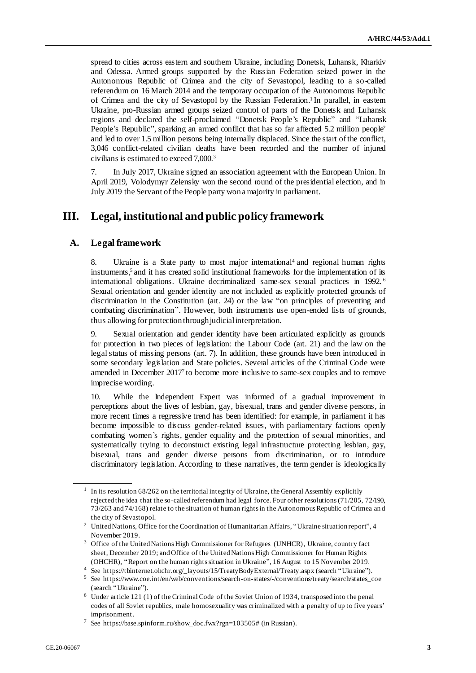spread to cities across eastern and southern Ukraine, including Donetsk, Luhansk, Kharkiv and Odessa. Armed groups supported by the Russian Federation seized power in the Autonomous Republic of Crimea and the city of Sevastopol, leading to a so-called referendum on 16 March 2014 and the temporary occupation of the Autonomous Republic of Crimea and the city of Sevastopol by the Russian Federation.<sup>1</sup> In parallel, in eastem Ukraine, pro-Russian armed groups seized control of parts of the Donetsk and Luhansk regions and declared the self-proclaimed "Donetsk People's Republic" and "Luhansk People's Republic", sparking an armed conflict that has so far affected 5.2 million people<sup>2</sup> and led to over 1.5 million persons being internally displaced. Since the start of the conflict, 3,046 conflict-related civilian deaths have been recorded and the number of injured civilians is estimated to exceed 7,000.<sup>3</sup>

7. In July 2017, Ukraine signed an association agreement with the European Union. In April 2019, Volodymyr Zelensky won the second round of the presidential election, and in July 2019 the Servant of the People party won a majority in parliament.

## **III. Legal, institutional and public policy framework**

## **A. Legal framework**

8. Ukraine is a State party to most major international<sup>4</sup> and regional human rights instruments, $5$  and it has created solid institutional frameworks for the implementation of its international obligations. Ukraine decriminalized same-sex sexual practices in 1992. <sup>6</sup> Sexual orientation and gender identity are not included as explicitly protected grounds of discrimination in the Constitution (art. 24) or the law "on principles of preventing and combating discrimination". However, both instruments use open-ended lists of grounds, thus allowing for protection through judicial interpretation.

9. Sexual orientation and gender identity have been articulated explicitly as grounds for protection in two pieces of legislation: the Labour Code (art. 21) and the law on the legal status of missing persons (art. 7). In addition, these grounds have been introduced in some secondary legislation and State policies. Several articles of the Criminal Code were amended in December 2017<sup>7</sup> to become more inclusive to same-sex couples and to remove imprecise wording.

10. While the Independent Expert was informed of a gradual improvement in perceptions about the lives of lesbian, gay, bisexual, trans and gender diverse persons, in more recent times a regressive trend has been identified: for example, in parliament it has become impossible to discuss gender-related issues, with parliamentary factions openly combating women's rights, gender equality and the protection of sexual minorities, and systematically trying to deconstruct existing legal infrastructure protecting lesbian, gay, bisexual, trans and gender diverse persons from discrimination, or to introduce discriminatory legislation. According to these narratives, the term gender is ideologically

<sup>1</sup> In its resolution 68/262 on the territorial integrity of Ukraine, the General Assembly explicitly rejected the idea that the so-called referendum had legal force. Four other resolutions (71/205, 72/190, 73/263 and 74/168) relate to the situation of human rights in the Autonomous Republic of Crimea an d the city of Sevastopol.

<sup>2</sup> United Nations, Office for the Coordination of Humanitarian Affairs, "Ukraine situation report", 4 November 2019.

<sup>3</sup> Office of the United Nations High Commissioner for Refugees (UNHCR), Ukraine, country fact sheet, December 2019; and Office of the United Nations High Commissioner for Human Rights (OHCHR), "Report on the human rights situation in Ukraine", 16 August to 15 November 2019.

<sup>4</sup> See [https://tbinternet.ohchr.org/\\_layouts/15/TreatyBodyExternal/Treaty.aspx](https://tbinternet.ohchr.org/_layouts/15/TreatyBodyExternal/Treaty.aspx) (search "Ukraine").

<sup>5</sup> See [https://www.coe.int/en/web/conventions/search-on-states/-/conventions/treaty/search/states\\_coe](https://www.coe.int/en/web/conventions/search-on-states/-/conventions/treaty/search/states_coe) (search "Ukraine").

<sup>6</sup> Under article 121 (1) of the Criminal Code of the Soviet Union of 1934, transposed into the penal codes of all Soviet republics, male homosexuality was criminalized with a penalty of up to five years' imprisonment.

<sup>7</sup> See [https://base.spinform.ru/show\\_doc.fwx?rgn=103505#](https://base.spinform.ru/show_doc.fwx?rgn=103505) (in Russian).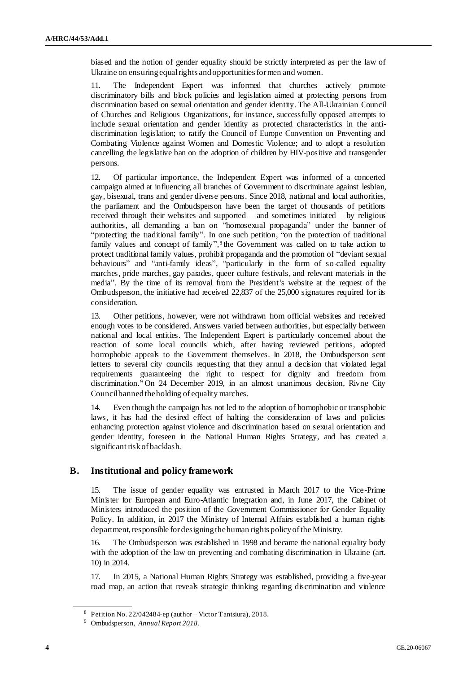biased and the notion of gender equality should be strictly interpreted as per the law of Ukraine on ensuring equal rights and opportunities for men and women.

11. The Independent Expert was informed that churches actively promote discriminatory bills and block policies and legislation aimed at protecting persons from discrimination based on sexual orientation and gender identity. The All-Ukrainian Council of Churches and Religious Organizations, for instance, successfully opposed attempts to include sexual orientation and gender identity as protected characteristics in the antidiscrimination legislation; to ratify the Council of Europe Convention on Preventing and Combating Violence against Women and Domestic Violence; and to adopt a resolution cancelling the legislative ban on the adoption of children by HIV-positive and transgender persons.

12. Of particular importance, the Independent Expert was informed of a concerted campaign aimed at influencing all branches of Government to discriminate against lesbian, gay, bisexual, trans and gender diverse persons. Since 2018, national and local authorities, the parliament and the Ombudsperson have been the target of thousands of petitions received through their websites and supported – and sometimes initiated – by religious authorities, all demanding a ban on "homosexual propaganda" under the banner of "protecting the traditional family". In one such petition, "on the protection of traditional family values and concept of family",<sup>8</sup> the Government was called on to take action to protect traditional family values, prohibit propaganda and the promotion of "deviant sexual behaviours" and "anti-family ideas", "particularly in the form of so-called equality marches, pride marches, gay parades, queer culture festivals, and relevant materials in the media". By the time of its removal from the President's website at the request of the Ombudsperson, the initiative had received 22,837 of the 25,000 signatures required for its consideration.

13. Other petitions, however, were not withdrawn from official websites and received enough votes to be considered. Answers varied between authorities, but especially between national and local entities. The Independent Expert is particularly concerned about the reaction of some local councils which, after having reviewed petitions, adopted homophobic appeals to the Government themselves. In 2018, the Ombudsperson sent letters to several city councils requesting that they annul a decision that violated legal requirements guaranteeing the right to respect for dignity and freedom from discrimination.<sup>9</sup> On 24 December 2019, in an almost unanimous decision, Rivne City Council banned the holding of equality marches.

14. Even though the campaign has not led to the adoption of homophobic or transphobic laws, it has had the desired effect of halting the consideration of laws and policies enhancing protection against violence and discrimination based on sexual orientation and gender identity, foreseen in the National Human Rights Strategy, and has created a significant risk of backlash.

## **B. Institutional and policy framework**

15. The issue of gender equality was entrusted in March 2017 to the Vice-Prime Minister for European and Euro-Atlantic Integration and, in June 2017, the Cabinet of Ministers introduced the position of the Government Commissioner for Gender Equality Policy. In addition, in 2017 the Ministry of Internal Affairs established a human rights department, responsible for designing the human rights policy of the Ministry.

16. The Ombudsperson was established in 1998 and became the national equality body with the adoption of the law on preventing and combating discrimination in Ukraine (art. 10) in 2014.

17. In 2015, a National Human Rights Strategy was established, providing a five-year road map, an action that reveals strategic thinking regarding discrimination and violence

<sup>8</sup> Petition No. 22/042484-ep (author – Victor Tantsiura), 2018.

<sup>9</sup> Ombudsperson, *Annual Report 2018*.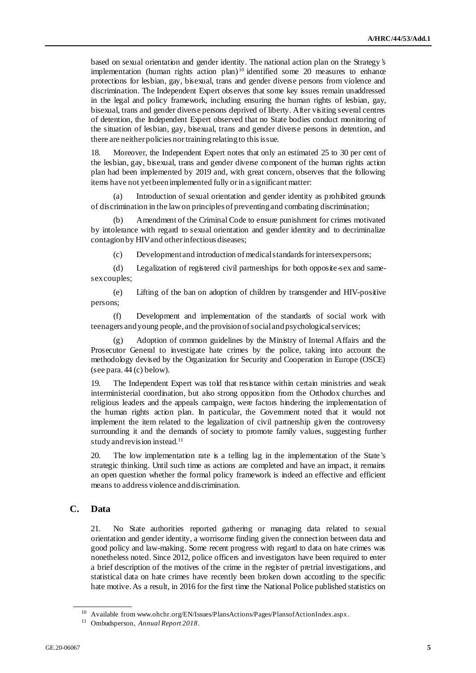based on sexual orientation and gender identity. The national action plan on the Strategy's implementation (human rights action plan)<sup>10</sup> identified some 20 measures to enhance protections for lesbian, gay, bisexual, trans and gender diverse persons from violence and discrimination. The Independent Expert observes that some key issues remain unaddressed in the legal and policy framework, including ensuring the human rights of lesbian, gay, bisexual, trans and gender diverse persons deprived of liberty. After visiting several centres of detention, the Independent Expert observed that no State bodies conduct monitoring of the situation of lesbian, gay, bisexual, trans and gender diverse persons in detention, and there are neither policies nor training relating to this issue.

18. Moreover, the Independent Expert notes that only an estimated 25 to 30 per cent of the lesbian, gay, bisexual, trans and gender diverse component of the human rights action plan had been implemented by 2019 and, with great concern, observes that the following items have not yet been implemented fully or in a significant matter:

(a) Introduction of sexual orientation and gender identity as prohibited grounds of discrimination in the law on principles of preventing and combating discrimination;

(b) Amendment of the Criminal Code to ensure punishment for crimes motivated by intolerance with regard to sexual orientation and gender identity and to decriminalize contagion by HIV and other infectious diseases;

(c) Development and introduction of medical standards for intersex persons;

(d) Legalization of registered civil partnerships for both opposite-sex and samesex couples;

(e) Lifting of the ban on adoption of children by transgender and HIV-positive persons;

(f) Development and implementation of the standards of social work with teenagers and young people, and the provision of social and psychological services;

(g) Adoption of common guidelines by the Ministry of Internal Affairs and the Prosecutor General to investigate hate crimes by the police, taking into account the methodology devised by the Organization for Security and Cooperation in Europe (OSCE) (see para. 44 (c) below).

19. The Independent Expert was told that resistance within certain ministries and weak interministerial coordination, but also strong opposition from the Orthodox churches and religious leaders and the appeals campaign, were factors hindering the implementation of the human rights action plan. In particular, the Government noted that it would not implement the item related to the legalization of civil partnership given the controversy surrounding it and the demands of society to promote family values, suggesting further study and revision instead.<sup>11</sup>

20. The low implementation rate is a telling lag in the implementation of the State's strategic thinking. Until such time as actions are completed and have an impact, it remains an open question whether the formal policy framework is indeed an effective and efficient means to address violence and discrimination.

## **C. Data**

21. No State authorities reported gathering or managing data related to sexual orientation and gender identity, a worrisome finding given the connection between data and good policy and law-making. Some recent progress with regard to data on hate crimes was nonetheless noted. Since 2012, police officers and investigators have been required to enter a brief description of the motives of the crime in the register of pretrial investigations, and statistical data on hate crimes have recently been broken down according to the specific hate motive. As a result, in 2016 for the first time the National Police published statistics on

<sup>&</sup>lt;sup>10</sup> Available fro[m www.ohchr.org/EN/Issues/PlansActions/Pages/PlansofActionIndex.aspx.](https://www.ohchr.org/EN/Issues/PlansActions/Pages/PlansofActionIndex.aspx)

<sup>11</sup> Ombudsperson, *Annual Report 2018*.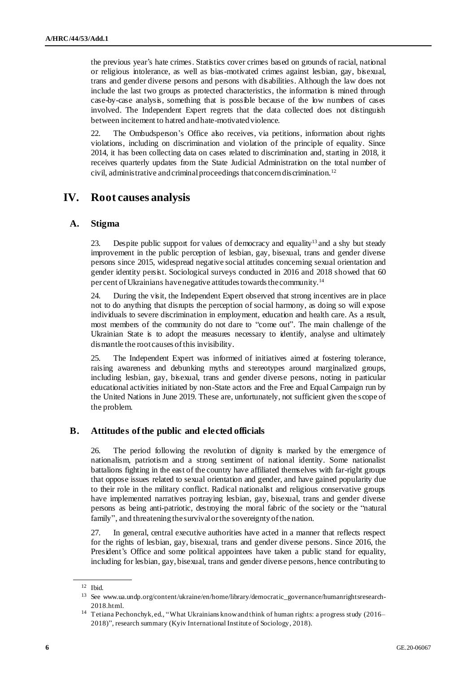the previous year's hate crimes. Statistics cover crimes based on grounds of racial, national or religious intolerance, as well as bias-motivated crimes against lesbian, gay, bisexual, trans and gender diverse persons and persons with disabilities. Although the law does not include the last two groups as protected characteristics, the information is mined through case-by-case analysis, something that is possible because of the low numbers of cases involved. The Independent Expert regrets that the data collected does not distinguish between incitement to hatred and hate-motivated violence.

22. The Ombudsperson's Office also receives, via petitions, information about rights violations, including on discrimination and violation of the principle of equality. Since 2014, it has been collecting data on cases related to discrimination and, starting in 2018, it receives quarterly updates from the State Judicial Administration on the total number of civil, administrative and criminal proceedings that concern discrimination.<sup>12</sup>

## **IV. Root causes analysis**

## **A. Stigma**

23. Despite public support for values of democracy and equality<sup>13</sup> and a shy but steady improvement in the public perception of lesbian, gay, bisexual, trans and gender diverse persons since 2015, widespread negative social attitudes concerning sexual orientation and gender identity persist. Sociological surveys conducted in 2016 and 2018 showed that 60 per cent of Ukrainians have negative attitudes towards the community.<sup>14</sup>

24. During the visit, the Independent Expert observed that strong incentives are in place not to do anything that disrupts the perception of social harmony, as doing so will expose individuals to severe discrimination in employment, education and health care. As a result, most members of the community do not dare to "come out". The main challenge of the Ukrainian State is to adopt the measures necessary to identify, analyse and ultimately dismantle the root causes of this invisibility.

25. The Independent Expert was informed of initiatives aimed at fostering tolerance, raising awareness and debunking myths and stereotypes around marginalized groups, including lesbian, gay, bisexual, trans and gender diverse persons, noting in particular educational activities initiated by non-State actors and the Free and Equal Campaign run by the United Nations in June 2019. These are, unfortunately, not sufficient given the scope of the problem.

## **B. Attitudes of the public and elected officials**

26. The period following the revolution of dignity is marked by the emergence of nationalism, patriotism and a strong sentiment of national identity. Some nationalist battalions fighting in the east of the country have affiliated themselves with far-right groups that oppose issues related to sexual orientation and gender, and have gained popularity due to their role in the military conflict. Radical nationalist and religious conservative groups have implemented narratives portraying lesbian, gay, bisexual, trans and gender diverse persons as being anti-patriotic, destroying the moral fabric of the society or the "natural family", and threatening the survival or the sovereignty of the nation.

27. In general, central executive authorities have acted in a manner that reflects respect for the rights of lesbian, gay, bisexual, trans and gender diverse persons. Since 2016, the President's Office and some political appointees have taken a public stand for equality, including for lesbian, gay, bisexual, trans and gender diverse persons, hence contributing to

<sup>12</sup> Ibid.

<sup>13</sup> See [www.ua.undp.org/content/ukraine/en/home/library/democratic\\_governance/humanrightsresearch-](http://www.ua.undp.org/content/ukraine/en/home/library/democratic_governance/humanrightsresearch-2018.html)[2018.html](http://www.ua.undp.org/content/ukraine/en/home/library/democratic_governance/humanrightsresearch-2018.html).

<sup>14</sup> Tetiana Pechonchyk, ed., "What Ukrainians know and think of human rights: a progress study (2016– 2018)", research summary (Kyiv International Institute of Sociology, 2018).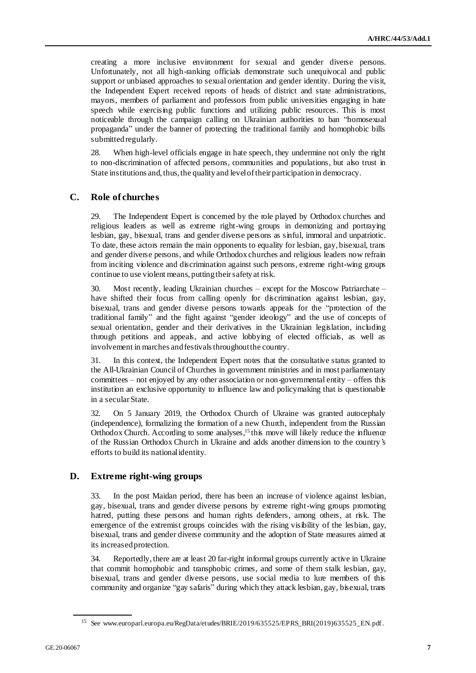creating a more inclusive environment for sexual and gender diverse persons. Unfortunately, not all high-ranking officials demonstrate such unequivocal and public support or unbiased approaches to sexual orientation and gender identity. During the visit, the Independent Expert received reports of heads of district and state administrations, mayors, members of parliament and professors from public universities engaging in hate speech while exercising public functions and utilizing public resources. This is most noticeable through the campaign calling on Ukrainian authorities to ban "homosexual propaganda" under the banner of protecting the traditional family and homophobic bills submitted regularly.

28. When high-level officials engage in hate speech, they undermine not only the right to non-discrimination of affected persons, communities and populations, but also trust in State institutions and, thus, the quality and level of their participation in democracy.

## **C. Role of churches**

29. The Independent Expert is concerned by the role played by Orthodox churches and religious leaders as well as extreme right-wing groups in demonizing and portraying lesbian, gay, bisexual, trans and gender diverse persons as sinful, immoral and unpatriotic. To date, these actors remain the main opponents to equality for lesbian, gay, bisexual, trans and gender diverse persons, and while Orthodox churches and religious leaders now refrain from inciting violence and discrimination against such persons, extreme right-wing groups continue to use violent means, putting their safety at risk.

30. Most recently, leading Ukrainian churches – except for the Moscow Patriarchate – have shifted their focus from calling openly for discrimination against lesbian, gay, bisexual, trans and gender diverse persons towards appeals for the "protection of the traditional family" and the fight against "gender ideology" and the use of concepts of sexual orientation, gender and their derivatives in the Ukrainian legislation, including through petitions and appeals, and active lobbying of elected officials, as well as involvement in marches and festivals throughout the country.

31. In this context, the Independent Expert notes that the consultative status granted to the All-Ukrainian Council of Churches in government ministries and in most parliamentary committees – not enjoyed by any other association or non-governmental entity – offers this institution an exclusive opportunity to influence law and policymaking that is questionable in a secular State.

32. On 5 January 2019, the Orthodox Church of Ukraine was granted autocephaly (independence), formalizing the formation of a new Church, independent from the Russian Orthodox Church. According to some analyses,<sup>15</sup> this move will likely reduce the influence of the Russian Orthodox Church in Ukraine and adds another dimension to the country's efforts to build its national identity.

## **D. Extreme right-wing groups**

In the post Maidan period, there has been an increase of violence against lesbian, gay, bisexual, trans and gender diverse persons by extreme right-wing groups promoting hatred, putting these persons and human rights defenders, among others, at risk. The emergence of the extremist groups coincides with the rising visibility of the lesbian, gay, bisexual, trans and gender diverse community and the adoption of State measures aimed at its increased protection.

34. Reportedly, there are at least 20 far-right informal groups currently active in Ukraine that commit homophobic and transphobic crimes, and some of them stalk lesbian, gay, bisexual, trans and gender diverse persons, use social media to lure members of this community and organize "gay safaris" during which they attack lesbian, gay, bisexual, trans

<sup>&</sup>lt;sup>15</sup> See [www.europarl.europa.eu/RegData/etudes/BRIE/2019/635525/EPRS\\_BRI\(2019\)635525\\_EN.pdf](http://www.europarl.europa.eu/RegData/etudes/BRIE/2019/635525/EPRS_BRI(2019)635525_EN.pdf).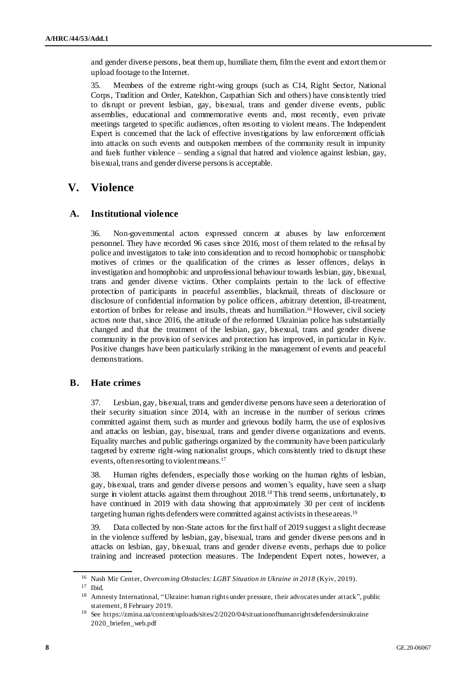and gender diverse persons, beat them up, humiliate them, film the event and extort them or upload footage to the Internet.

35. Members of the extreme right-wing groups (such as C14, Right Sector, National Corps, Tradition and Order, Katekhon, Carpathian Sich and others) have consistently tried to disrupt or prevent lesbian, gay, bisexual, trans and gender diverse events, public assemblies, educational and commemorative events and, most recently, even private meetings targeted to specific audiences, often resorting to violent means. The Independent Expert is concerned that the lack of effective investigations by law enforcement officials into attacks on such events and outspoken members of the community result in impunity and fuels further violence – sending a signal that hatred and violence against lesbian, gay, bisexual, trans and gender diverse persons is acceptable.

## **V. Violence**

## **A. Institutional violence**

36. Non-governmental actors expressed concern at abuses by law enforcement personnel. They have recorded 96 cases since 2016, most of them related to the refusal by police and investigators to take into consideration and to record homophobic or transphobic motives of crimes or the qualification of the crimes as lesser offences, delays in investigation and homophobic and unprofessional behaviour towards lesbian, gay, bisexual, trans and gender diverse victims. Other complaints pertain to the lack of effective protection of participants in peaceful assemblies, blackmail, threats of disclosure or disclosure of confidential information by police officers, arbitrary detention, ill-treatment, extortion of bribes for release and insults, threats and humiliation.<sup>16</sup> However, civil society actors note that, since 2016, the attitude of the reformed Ukrainian police has substantially changed and that the treatment of the lesbian, gay, bisexual, trans and gender diverse community in the provision of services and protection has improved, in particular in Kyiv. Positive changes have been particularly striking in the management of events and peaceful demonstrations.

## **B. Hate crimes**

37. Lesbian, gay, bisexual, trans and gender diverse persons have seen a deterioration of their security situation since 2014, with an increase in the number of serious crimes committed against them, such as murder and grievous bodily harm, the use of explosives and attacks on lesbian, gay, bisexual, trans and gender diverse organizations and events. Equality marches and public gatherings organized by the community have been particularly targeted by extreme right-wing nationalist groups, which consistently tried to disrupt these events, often resorting to violent means.<sup>17</sup>

38. Human rights defenders, especially those working on the human rights of lesbian, gay, bisexual, trans and gender diverse persons and women's equality, have seen a sharp surge in violent attacks against them throughout 2018.<sup>18</sup> This trend seems, unfortunately, to have continued in 2019 with data showing that approximately 30 per cent of incidents targeting human rights defenders were committed against activists in these areas.<sup>19</sup>

39. Data collected by non-State actors for the first half of 2019 suggest a slight decrease in the violence suffered by lesbian, gay, bisexual, trans and gender diverse persons and in attacks on lesbian, gay, bisexual, trans and gender diverse events, perhaps due to police training and increased protection measures. The Independent Expert notes, however, a

<sup>16</sup> Nash Mir Center, *Overcoming Obstacles: LGBT Situation in Ukraine in 2018* (Kyiv, 2019).

<sup>17</sup> Ibid.

<sup>&</sup>lt;sup>18</sup> Amnesty International, "Ukraine: human rights under pressure, their advocates under attack", public statement, 8 February 2019.

<sup>19</sup> See [https://zmina.ua/content/uploads/sites/2/2020/04/situationofhumanrightsdefendersinukraine](https://zmina.ua/content/uploads/sites/2/2020/04/situationofhumanrightsdefendersinukraine2020_briefen_web.pdf) [2020\\_briefen\\_web.pdf](https://zmina.ua/content/uploads/sites/2/2020/04/situationofhumanrightsdefendersinukraine2020_briefen_web.pdf)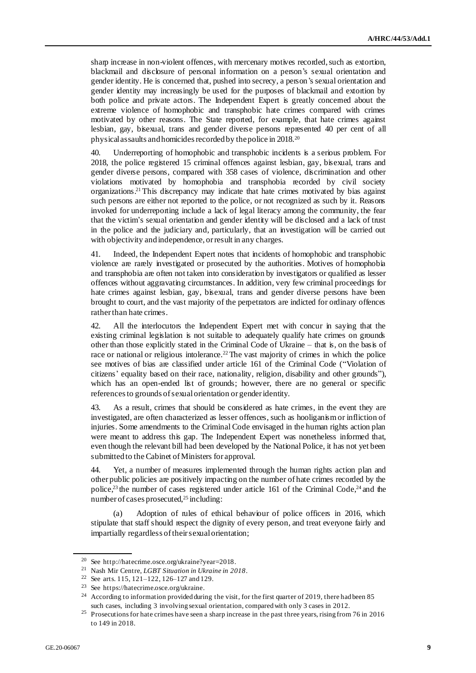sharp increase in non-violent offences, with mercenary motives recorded, such as extortion, blackmail and disclosure of personal information on a person's sexual orientation and gender identity. He is concerned that, pushed into secrecy, a person's sexual orientation and gender identity may increasingly be used for the purposes of blackmail and extortion by both police and private actors. The Independent Expert is greatly concerned about the extreme violence of homophobic and transphobic hate crimes compared with crimes motivated by other reasons. The State reported, for example, that hate crimes against lesbian, gay, bisexual, trans and gender diverse persons represented 40 per cent of all physical assaults and homicides recorded by the police in 2018.<sup>20</sup>

40. Underreporting of homophobic and transphobic incidents is a serious problem. For 2018, the police registered 15 criminal offences against lesbian, gay, bisexual, trans and gender diverse persons, compared with 358 cases of violence, discrimination and other violations motivated by homophobia and transphobia recorded by civil society organizations.<sup>21</sup> This discrepancy may indicate that hate crimes motivated by bias against such persons are either not reported to the police, or not recognized as such by it. Reasons invoked for underreporting include a lack of legal literacy among the community, the fear that the victim's sexual orientation and gender identity will be disclosed and a lack of trust in the police and the judiciary and, particularly, that an investigation will be carried out with objectivity and independence, or result in any charges.

41. Indeed, the Independent Expert notes that incidents of homophobic and transphobic violence are rarely investigated or prosecuted by the authorities. Motives of homophobia and transphobia are often not taken into consideration by investigators or qualified as lesser offences without aggravating circumstances. In addition, very few criminal proceedings for hate crimes against lesbian, gay, bisexual, trans and gender diverse persons have been brought to court, and the vast majority of the perpetrators are indicted for ordinary offences rather than hate crimes.

42. All the interlocutors the Independent Expert met with concur in saying that the existing criminal legislation is not suitable to adequately qualify hate crimes on grounds other than those explicitly stated in the Criminal Code of Ukraine – that is, on the basis of race or national or religious intolerance.<sup>22</sup> The vast majority of crimes in which the police see motives of bias are classified under article 161 of the Criminal Code ("Violation of citizens' equality based on their race, nationality, religion, disability and other grounds"), which has an open-ended list of grounds; however, there are no general or specific references to grounds of sexual orientation or gender identity.

43. As a result, crimes that should be considered as hate crimes, in the event they are investigated, are often characterized as lesser offences, such as hooliganism or infliction of injuries. Some amendments to the Criminal Code envisaged in the human rights action plan were meant to address this gap. The Independent Expert was nonetheless informed that, even though the relevant bill had been developed by the National Police, it has not yet been submitted to the Cabinet of Ministers for approval.

44. Yet, a number of measures implemented through the human rights action plan and other public policies are positively impacting on the number of hate crimes recorded by the police,<sup>23</sup> the number of cases registered under article 161 of the Criminal Code,<sup>24</sup> and the number of cases prosecuted,<sup>25</sup> including:

(a) Adoption of rules of ethical behaviour of police officers in 2016, which stipulate that staff should respect the dignity of every person, and treat everyone fairly and impartially regardless of their sexual orientation;

<sup>20</sup> See<http://hatecrime.osce.org/ukraine?year=2018>.

<sup>21</sup> Nash Mir Centre, *LGBT Situation in Ukraine in 2018*.

<sup>&</sup>lt;sup>22</sup> See arts. 115, 121–122, 126–127 and 129.

<sup>23</sup> See<https://hatecrime.osce.org/ukraine>.

<sup>&</sup>lt;sup>24</sup> According to information provided during the visit, for the first quarter of 2019, there had been 85 such cases, including 3 involving sexual orientation, compared with only 3 cases in 2012.

<sup>&</sup>lt;sup>25</sup> Prosecutions for hate crimes have seen a sharp increase in the past three years, rising from 76 in 2016 to 149 in 2018.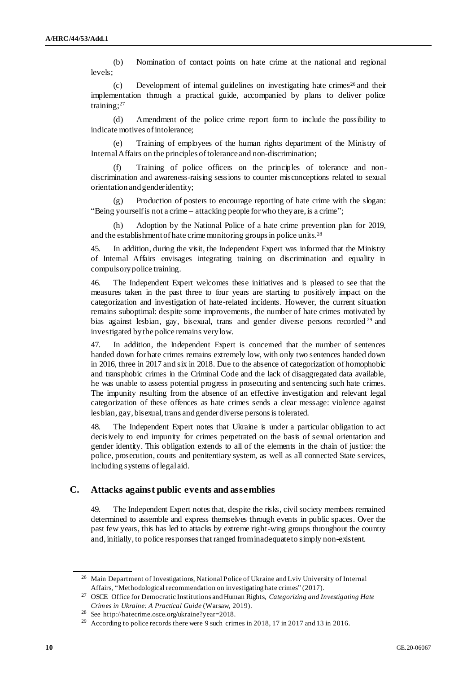(b) Nomination of contact points on hate crime at the national and regional levels;

(c) Development of internal guidelines on investigating hate crimes<sup>26</sup> and their implementation through a practical guide, accompanied by plans to deliver police training;<sup>27</sup>

(d) Amendment of the police crime report form to include the possibility to indicate motives of intolerance;

(e) Training of employees of the human rights department of the Ministry of Internal Affairs on the principles of tolerance and non-discrimination;

(f) Training of police officers on the principles of tolerance and nondiscrimination and awareness-raising sessions to counter misconceptions related to sexual orientation and gender identity;

(g) Production of posters to encourage reporting of hate crime with the slogan: "Being yourself is not a crime – attacking people for who they are, is a crime";

(h) Adoption by the National Police of a hate crime prevention plan for 2019, and the establishment of hate crime monitoring groups in police units.<sup>28</sup>

In addition, during the visit, the Independent Expert was informed that the Ministry of Internal Affairs envisages integrating training on discrimination and equality in compulsory police training.

46. The Independent Expert welcomes these initiatives and is pleased to see that the measures taken in the past three to four years are starting to positively impact on the categorization and investigation of hate-related incidents. However, the current situation remains suboptimal: despite some improvements, the number of hate crimes motivated by bias against lesbian, gay, bisexual, trans and gender diverse persons recorded <sup>29</sup> and investigated by the police remains very low.

47. In addition, the Independent Expert is concerned that the number of sentences handed down for hate crimes remains extremely low, with only two sentences handed down in 2016, three in 2017 and six in 2018. Due to the absence of categorization of homophobic and transphobic crimes in the Criminal Code and the lack of disaggregated data available, he was unable to assess potential progress in prosecuting and sentencing such hate crimes. The impunity resulting from the absence of an effective investigation and relevant legal categorization of these offences as hate crimes sends a clear message: violence against lesbian, gay, bisexual, trans and gender diverse persons is tolerated.

48. The Independent Expert notes that Ukraine is under a particular obligation to act decisively to end impunity for crimes perpetrated on the basis of sexual orientation and gender identity. This obligation extends to all of the elements in the chain of justice: the police, prosecution, courts and penitentiary system, as well as all connected State services, including systems of legal aid.

## **C. Attacks against public events and assemblies**

49. The Independent Expert notes that, despite the risks, civil society members remained determined to assemble and express themselves through events in public spaces. Over the past few years, this has led to attacks by extreme right-wing groups throughout the country and, initially, to police responses that ranged from inadequate to simply non-existent.

<sup>&</sup>lt;sup>26</sup> Main Department of Investigations, National Police of Ukraine and Lviv University of Internal Affairs, "Methodological recommendation on investigating hate crimes" (2017).

<sup>27</sup> OSCE Office for Democratic Institutions and Human Rights, *Categorizing and Investigating Hate Crimes in Ukraine: A Practical Guide* (Warsaw, 2019).

<sup>28</sup> See http://hatecrime.osce.org/ukraine?year=2018.

<sup>&</sup>lt;sup>29</sup> According to police records there were 9 such crimes in 2018, 17 in 2017 and 13 in 2016.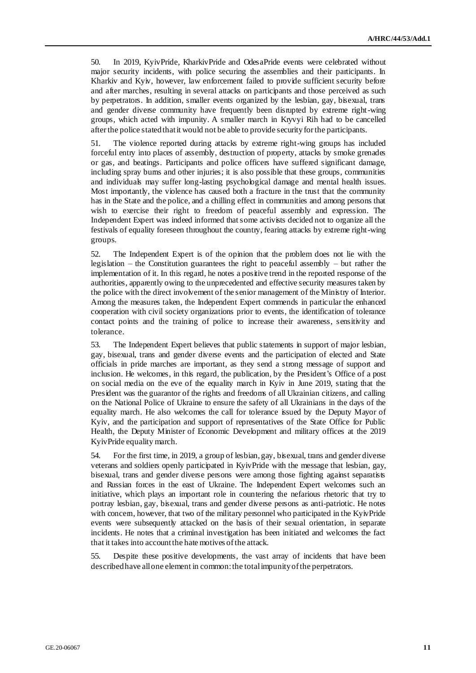50. In 2019, KyivPride, KharkivPride and OdesaPride events were celebrated without major security incidents, with police securing the assemblies and their participants. In Kharkiv and Kyiv, however, law enforcement failed to provide sufficient security before and after marches, resulting in several attacks on participants and those perceived as such by perpetrators. In addition, smaller events organized by the lesbian, gay, bisexual, trans and gender diverse community have frequently been disrupted by extreme right-wing groups, which acted with impunity. A smaller march in Kryvyi Rih had to be cancelled after the police stated that it would not be able to provide security for the participants.

51. The violence reported during attacks by extreme right-wing groups has included forceful entry into places of assembly, destruction of property, attacks by smoke grenades or gas, and beatings. Participants and police officers have suffered significant damage, including spray burns and other injuries; it is also possible that these groups, communities and individuals may suffer long-lasting psychological damage and mental health issues. Most importantly, the violence has caused both a fracture in the trust that the community has in the State and the police, and a chilling effect in communities and among persons that wish to exercise their right to freedom of peaceful assembly and expression. The Independent Expert was indeed informed that some activists decided not to organize all the festivals of equality foreseen throughout the country, fearing attacks by extreme right-wing groups.

52. The Independent Expert is of the opinion that the problem does not lie with the legislation – the Constitution guarantees the right to peaceful assembly – but rather the implementation of it. In this regard, he notes a positive trend in the reported response of the authorities, apparently owing to the unprecedented and effective security measures taken by the police with the direct involvement of the senior management of the Ministry of Interior. Among the measures taken, the Independent Expert commends in particular the enhanced cooperation with civil society organizations prior to events, the identification of tolerance contact points and the training of police to increase their awareness, sensitivity and tolerance.

53. The Independent Expert believes that public statements in support of major lesbian, gay, bisexual, trans and gender diverse events and the participation of elected and State officials in pride marches are important, as they send a strong message of support and inclusion. He welcomes, in this regard, the publication, by the President's Office of a post on social media on the eve of the equality march in Kyiv in June 2019, stating that the President was the guarantor of the rights and freedoms of all Ukrainian citizens, and calling on the National Police of Ukraine to ensure the safety of all Ukrainians in the days of the equality march. He also welcomes the call for tolerance issued by the Deputy Mayor of Kyiv, and the participation and support of representatives of the State Office for Public Health, the Deputy Minister of Economic Development and military offices at the 2019 KyivPride equality march.

54. For the first time, in 2019, a group of lesbian, gay, bisexual, trans and gender diverse veterans and soldiers openly participated in KyivPride with the message that lesbian, gay, bisexual, trans and gender diverse persons were among those fighting against separatists and Russian forces in the east of Ukraine. The Independent Expert welcomes such an initiative, which plays an important role in countering the nefarious rhetoric that try to portray lesbian, gay, bisexual, trans and gender diverse persons as anti-patriotic. He notes with concern, however, that two of the military personnel who participated in the KyivPride events were subsequently attacked on the basis of their sexual orientation, in separate incidents. He notes that a criminal investigation has been initiated and welcomes the fact that it takes into account the hate motives of the attack.

55. Despite these positive developments, the vast array of incidents that have been described have all one element in common: the total impunity of the perpetrators.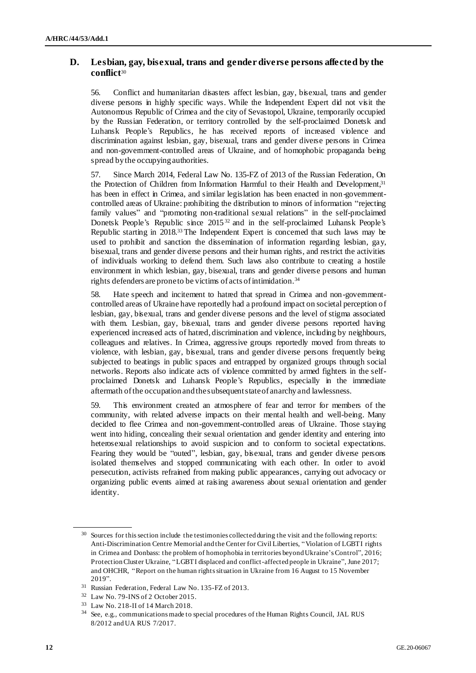## **D. Lesbian, gay, bisexual, trans and gender diverse persons affected by the conflict**<sup>30</sup>

56. Conflict and humanitarian disasters affect lesbian, gay, bisexual, trans and gender diverse persons in highly specific ways. While the Independent Expert did not visit the Autonomous Republic of Crimea and the city of Sevastopol, Ukraine, temporarily occupied by the Russian Federation, or territory controlled by the self-proclaimed Donetsk and Luhansk People's Republics, he has received reports of increased violence and discrimination against lesbian, gay, bisexual, trans and gender diverse persons in Crimea and non-government-controlled areas of Ukraine, and of homophobic propaganda being spread by the occupying authorities.

57. Since March 2014, Federal Law No. 135-FZ of 2013 of the Russian Federation, On the Protection of Children from Information Harmful to their Health and Development,<sup>31</sup> has been in effect in Crimea, and similar legislation has been enacted in non-governmentcontrolled areas of Ukraine: prohibiting the distribution to minors of information "rejecting family values" and "promoting non-traditional sexual relations" in the self-proclaimed Donetsk People's Republic since 2015 <sup>32</sup> and in the self-proclaimed Luhansk People's Republic starting in 2018.<sup>33</sup> The Independent Expert is concerned that such laws may be used to prohibit and sanction the dissemination of information regarding lesbian, gay, bisexual, trans and gender diverse persons and their human rights, and restrict the activities of individuals working to defend them. Such laws also contribute to creating a hostile environment in which lesbian, gay, bisexual, trans and gender diverse persons and human rights defenders are prone to be victims of acts of intimidation.<sup>34</sup>

58. Hate speech and incitement to hatred that spread in Crimea and non-governmentcontrolled areas of Ukraine have reportedly had a profound impact on societal perception of lesbian, gay, bisexual, trans and gender diverse persons and the level of stigma associated with them. Lesbian, gay, bisexual, trans and gender diverse persons reported having experienced increased acts of hatred, discrimination and violence, including by neighbours, colleagues and relatives. In Crimea, aggressive groups reportedly moved from threats to violence, with lesbian, gay, bisexual, trans and gender diverse persons frequently being subjected to beatings in public spaces and entrapped by organized groups through social networks. Reports also indicate acts of violence committed by armed fighters in the selfproclaimed Donetsk and Luhansk People's Republics, especially in the immediate aftermath of the occupation and the subsequent state of anarchy and lawlessness.

59. This environment created an atmosphere of fear and terror for members of the community, with related adverse impacts on their mental health and well-being. Many decided to flee Crimea and non-government-controlled areas of Ukraine. Those staying went into hiding, concealing their sexual orientation and gender identity and entering into heterosexual relationships to avoid suspicion and to conform to societal expectations. Fearing they would be "outed", lesbian, gay, bisexual, trans and gender diverse persons isolated themselves and stopped communicating with each other. In order to avoid persecution, activists refrained from making public appearances, carrying out advocacy or organizing public events aimed at raising awareness about sexual orientation and gender identity.

Sources for this section include the testimonies collected during the visit and the following reports: Anti-Discrimination Centre Memorial and the Center for Civil Liberties, "Violation of LGBTI rights in Crimea and Donbass: the problem of homophobia in territories beyond Ukraine's Control", 2016; Protection Cluster Ukraine, "LGBTI displaced and conflict-affected people in Ukraine", June 2017; and OHCHR, "Report on the human rights situation in Ukraine from 16 August to 15 November 2019".

<sup>31</sup> Russian Federation, Federal Law No. 135-FZ of 2013.

<sup>32</sup> Law No. 79-INS of 2 October 2015.

<sup>33</sup> Law No. 218-II of 14 March 2018.

<sup>34</sup> See, e.g., communications made to special procedures of the Human Rights Council, JA[L RUS](https://spcommreports.ohchr.org/TMResultsBase/DownLoadPublicCommunicationFile?gId=18822)  [8/2012](https://spcommreports.ohchr.org/TMResultsBase/DownLoadPublicCommunicationFile?gId=18822) an[d UA RUS 7/2017.](file://///fshq/APB/SOGI/03.%20Country%20visits/UKRAINE/Report/spcommreports.ohchr.org/TMResultsBase/DownLoadPublicCommunicationFile%3fgId=23357)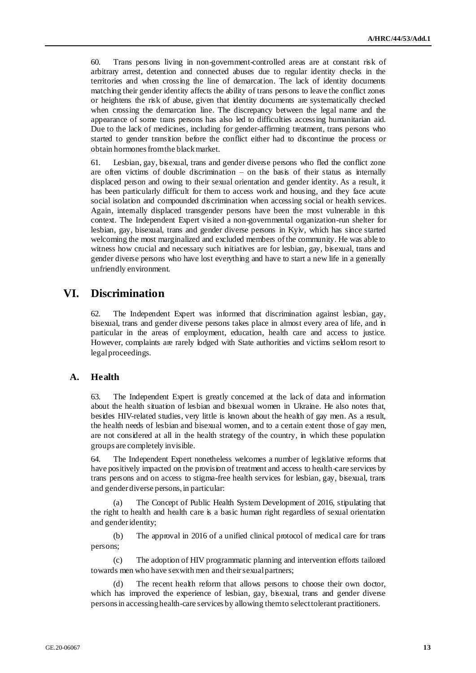60. Trans persons living in non-government-controlled areas are at constant risk of arbitrary arrest, detention and connected abuses due to regular identity checks in the territories and when crossing the line of demarcation. The lack of identity documents matching their gender identity affects the ability of trans persons to leave the conflict zones or heightens the risk of abuse, given that identity documents are systematically checked when crossing the demarcation line. The discrepancy between the legal name and the appearance of some trans persons has also led to difficulties accessing humanitarian aid. Due to the lack of medicines, including for gender-affirming treatment, trans persons who started to gender transition before the conflict either had to discontinue the process or obtain hormones from the black market.

61. Lesbian, gay, bisexual, trans and gender diverse persons who fled the conflict zone are often victims of double discrimination – on the basis of their status as internally displaced person and owing to their sexual orientation and gender identity. As a result, it has been particularly difficult for them to access work and housing, and they face acute social isolation and compounded discrimination when accessing social or health services. Again, internally displaced transgender persons have been the most vulnerable in this context. The Independent Expert visited a non-governmental organization-run shelter for lesbian, gay, bisexual, trans and gender diverse persons in Kyiv, which has since started welcoming the most marginalized and excluded members of the community. He was able to witness how crucial and necessary such initiatives are for lesbian, gay, bisexual, trans and gender diverse persons who have lost everything and have to start a new life in a generally unfriendly environment.

## **VI. Discrimination**

62. The Independent Expert was informed that discrimination against lesbian, gay, bisexual, trans and gender diverse persons takes place in almost every area of life, and in particular in the areas of employment, education, health care and access to justice. However, complaints are rarely lodged with State authorities and victims seldom resort to legal proceedings.

### **A. Health**

63. The Independent Expert is greatly concerned at the lack of data and information about the health situation of lesbian and bisexual women in Ukraine. He also notes that, besides HIV-related studies, very little is known about the health of gay men. As a result, the health needs of lesbian and bisexual women, and to a certain extent those of gay men, are not considered at all in the health strategy of the country, in which these population groups are completely invisible.

64. The Independent Expert nonetheless welcomes a number of legislative reforms that have positively impacted on the provision of treatment and access to health-care services by trans persons and on access to stigma-free health services for lesbian, gay, bisexual, trans and gender diverse persons, in particular:

(a) The Concept of Public Health System Development of 2016, stipulating that the right to health and health care is a basic human right regardless of sexual orientation and gender identity;

(b) The approval in 2016 of a unified clinical protocol of medical care for trans persons;

(c) The adoption of HIV programmatic planning and intervention efforts tailored towards men who have sex with men and their sexual partners;

(d) The recent health reform that allows persons to choose their own doctor, which has improved the experience of lesbian, gay, bisexual, trans and gender diverse persons in accessing health-care services by allowing them to select tolerant practitioners.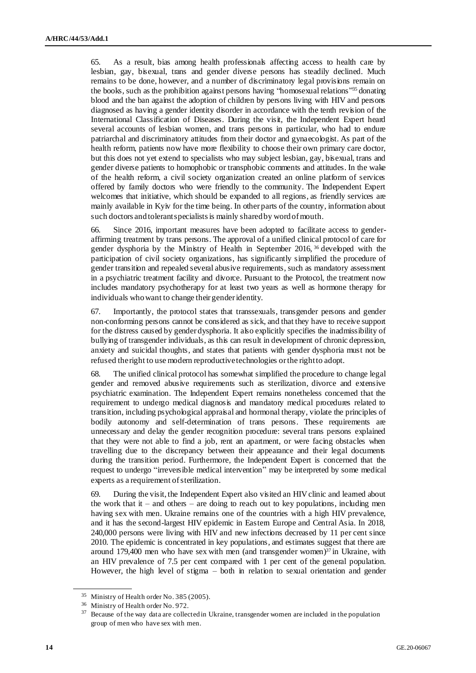65. As a result, bias among health professionals affecting access to health care by lesbian, gay, bisexual, trans and gender diverse persons has steadily declined. Much remains to be done, however, and a number of discriminatory legal provisions remain on the books, such as the prohibition against persons having "homosexual relations"<sup>35</sup> donating blood and the ban against the adoption of children by persons living with HIV and persons diagnosed as having a gender identity disorder in accordance with the tenth revision of the International Classification of Diseases. During the visit, the Independent Expert heard several accounts of lesbian women, and trans persons in particular, who had to endure patriarchal and discriminatory attitudes from their doctor and gynaecologist. As part of the health reform, patients now have more flexibility to choose their own primary care doctor, but this does not yet extend to specialists who may subject lesbian, gay, bisexual, trans and gender diverse patients to homophobic or transphobic comments and attitudes. In the wake of the health reform, a civil society organization created an online platform of services offered by family doctors who were friendly to the community. The Independent Expert welcomes that initiative, which should be expanded to all regions, as friendly services are mainly available in Kyiv for the time being. In other parts of the country, information about such doctors and tolerant specialists is mainly shared by word of mouth.

66. Since 2016, important measures have been adopted to facilitate access to genderaffirming treatment by trans persons. The approval of a unified clinical protocol of care for gender dysphoria by the Ministry of Health in September 2016, <sup>36</sup> developed with the participation of civil society organizations, has significantly simplified the procedure of gender transition and repealed several abusive requirements, such as mandatory assessment in a psychiatric treatment facility and divorce. Pursuant to the Protocol, the treatment now includes mandatory psychotherapy for at least two years as well as hormone therapy for individuals who want to change their gender identity.

67. Importantly, the protocol states that transsexuals, transgender persons and gender non-conforming persons cannot be considered as sick, and that they have to receive support for the distress caused by gender dysphoria. It also explicitly specifies the inadmissibility of bullying of transgender individuals, as this can result in development of chronic depression, anxiety and suicidal thoughts, and states that patients with gender dysphoria must not be refused the right to use modern reproductive technologies or the right to adopt.

68. The unified clinical protocol has somewhat simplified the procedure to change legal gender and removed abusive requirements such as sterilization, divorce and extensive psychiatric examination. The Independent Expert remains nonetheless concerned that the requirement to undergo medical diagnosis and mandatory medical procedures related to transition, including psychological appraisal and hormonal therapy, violate the principles of bodily autonomy and self-determination of trans persons. These requirements are unnecessary and delay the gender recognition procedure: several trans persons explained that they were not able to find a job, rent an apartment, or were facing obstacles when travelling due to the discrepancy between their appearance and their legal documents during the transition period. Furthermore, the Independent Expert is concerned that the request to undergo "irreversible medical intervention" may be interpreted by some medical experts as a requirement of sterilization.

69. During the visit, the Independent Expert also visited an HIV clinic and learned about the work that it – and others – are doing to reach out to key populations, including men having sex with men. Ukraine remains one of the countries with a high HIV prevalence, and it has the second-largest HIV epidemic in Eastern Europe and Central Asia. In 2018, 240,000 persons were living with HIV and new infections decreased by 11 per cent since 2010. The epidemic is concentrated in key populations, and estimates suggest that there are around 179,400 men who have sex with men (and transgender women) $37$  in Ukraine, with an HIV prevalence of 7.5 per cent compared with 1 per cent of the general population. However, the high level of stigma – both in relation to sexual orientation and gender

<sup>&</sup>lt;sup>35</sup> Ministry of Health order No. 385 (2005).

<sup>36</sup> Ministry of Health order No. 972.

<sup>&</sup>lt;sup>37</sup> Because of the way data are collected in Ukraine, transgender women are included in the population group of men who have sex with men.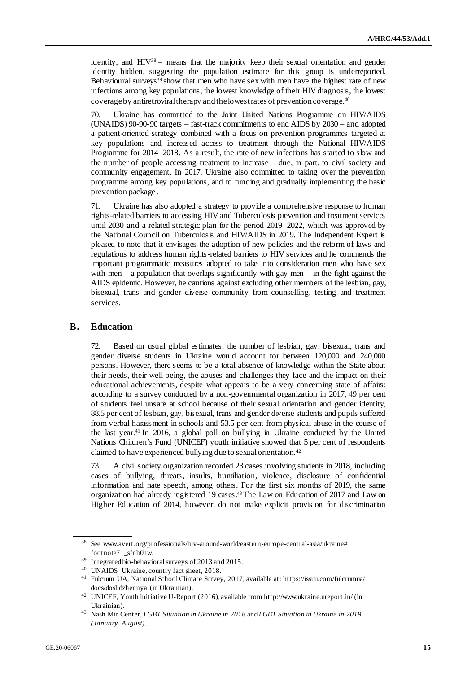identity, and  $HIV^{38}$  – means that the majority keep their sexual orientation and gender identity hidden, suggesting the population estimate for this group is underreported. Behavioural surveys $39$  show that men who have sex with men have the highest rate of new infections among key populations, the lowest knowledge of their HIV diagnosis, the lowest coverageby antiretroviral therapy and the lowest rates of prevention coverage.<sup>40</sup>

70. Ukraine has committed to the Joint United Nations Programme on HIV/AIDS (UNAIDS) 90-90-90 targets – fast-track commitments to end AIDS by 2030 – and adopted a patient-oriented strategy combined with a focus on prevention programmes targeted at key populations and increased access to treatment through the National HIV/AIDS Programme for 2014–2018. As a result, the rate of new infections has started to slow and the number of people accessing treatment to increase – due, in part, to civil society and community engagement. In 2017, Ukraine also committed to taking over the prevention programme among key populations, and to funding and gradually implementing the basic prevention package .

71. Ukraine has also adopted a strategy to provide a comprehensive response to human rights-related barriers to accessing HIV and Tuberculosis prevention and treatment services until 2030 and a related strategic plan for the period 2019–2022, which was approved by the National Council on Tuberculosis and HIV/AIDS in 2019. The Independent Expert is pleased to note that it envisages the adoption of new policies and the reform of laws and regulations to address human rights-related barriers to HIV services and he commends the important programmatic measures adopted to take into consideration men who have sex with men – a population that overlaps significantly with gay men – in the fight against the AIDS epidemic. However, he cautions against excluding other members of the lesbian, gay, bisexual, trans and gender diverse community from counselling, testing and treatment services.

#### **B. Education**

72. Based on usual global estimates, the number of lesbian, gay, bisexual, trans and gender diverse students in Ukraine would account for between 120,000 and 240,000 persons. However, there seems to be a total absence of knowledge within the State about their needs, their well-being, the abuses and challenges they face and the impact on their educational achievements, despite what appears to be a very concerning state of affairs: according to a survey conducted by a non-governmental organization in 2017, 49 per cent of students feel unsafe at school because of their sexual orientation and gender identity, 88.5 per cent of lesbian, gay, bisexual, trans and gender diverse students and pupils suffered from verbal harassment in schools and 53.5 per cent from physical abuse in the course of the last year.<sup>41</sup> In 2016, a global poll on bullying in Ukraine conducted by the United Nations Children's Fund (UNICEF) youth initiative showed that 5 per cent of respondents claimed to have experienced bullying due to sexual orientation.<sup>42</sup>

73. A civil society organization recorded 23 cases involving students in 2018, including cases of bullying, threats, insults, humiliation, violence, disclosure of confidential information and hate speech, among others. For the first six months of 2019, the same organization had already registered 19 cases.<sup>43</sup> The Law on Education of 2017 and Law on Higher Education of 2014, however, do not make explicit provision for discrimination

See www.avert.org/professionals/hiv-around-world/eastern-europe-central-asia/ukraine# footnote71\_sfnh0hw.

<sup>39</sup> Integrated bio-behavioral surveys of 2013 and 2015.

<sup>40</sup> UNAIDS, Ukraine, country fact sheet, 2018.

<sup>41</sup> Fulcrum UA, National School Climate Survey, 2017, available at[: https://issuu.com/fulcrumua/](https://issuu.com/fulcrumua/docs/doslidzhennya) [docs/doslidzhennya](https://issuu.com/fulcrumua/docs/doslidzhennya) (in Ukrainian).

<sup>42</sup> UNICEF, Youth initiative U-Report (2016), available fro[m http://www.ukraine.ureport.in/](http://www.ukraine.ureport.in/) (in Ukrainian).

<sup>43</sup> Nash Mir Center, *LGBT Situation in Ukraine in 2018* and *LGBT Situation in Ukraine in 2019 (January–August)*.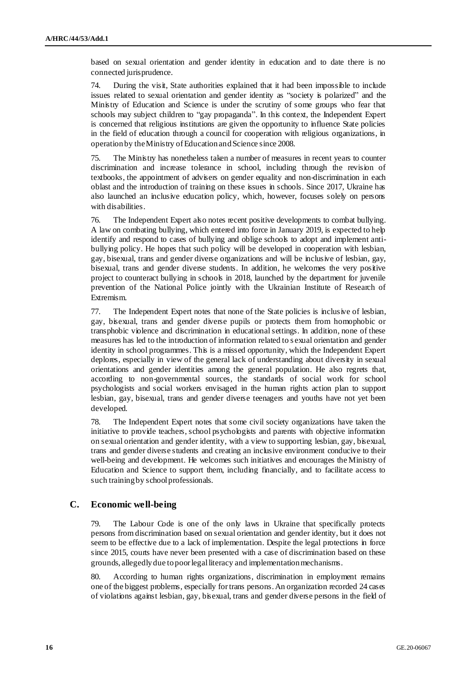based on sexual orientation and gender identity in education and to date there is no connected jurisprudence.

74. During the visit, State authorities explained that it had been impossible to include issues related to sexual orientation and gender identity as "society is polarized" and the Ministry of Education and Science is under the scrutiny of some groups who fear that schools may subject children to "gay propaganda". In this context, the Independent Expert is concerned that religious institutions are given the opportunity to influence State policies in the field of education through a council for cooperation with religious organizations, in operation by the Ministry of Education and Science since 2008.

75. The Ministry has nonetheless taken a number of measures in recent years to counter discrimination and increase tolerance in school, including through the revision of textbooks, the appointment of advisers on gender equality and non-discrimination in each oblast and the introduction of training on these issues in schools. Since 2017, Ukraine has also launched an inclusive education policy, which, however, focuses solely on persons with disabilities.

76. The Independent Expert also notes recent positive developments to combat bullying. A law on combating bullying, which entered into force in January 2019, is expected to help identify and respond to cases of bullying and oblige schools to adopt and implement antibullying policy. He hopes that such policy will be developed in cooperation with lesbian, gay, bisexual, trans and gender diverse organizations and will be inclusive of lesbian, gay, bisexual, trans and gender diverse students. In addition, he welcomes the very positive project to counteract bullying in schools in 2018, launched by the department for juvenile prevention of the National Police jointly with the Ukrainian Institute of Research of Extremism.

77. The Independent Expert notes that none of the State policies is inclusive of lesbian, gay, bisexual, trans and gender diverse pupils or protects them from homophobic or transphobic violence and discrimination in educational settings. In addition, none of these measures has led to the introduction of information related to s exual orientation and gender identity in school programmes. This is a missed opportunity, which the Independent Expert deplores, especially in view of the general lack of understanding about diversity in sexual orientations and gender identities among the general population. He also regrets that, according to non-governmental sources, the standards of social work for school psychologists and social workers envisaged in the human rights action plan to support lesbian, gay, bisexual, trans and gender diverse teenagers and youths have not yet been developed.

78. The Independent Expert notes that some civil society organizations have taken the initiative to provide teachers, school psychologists and parents with objective information on sexual orientation and gender identity, with a view to supporting lesbian, gay, bisexual, trans and gender diverse students and creating an inclusive environment conducive to their well-being and development. He welcomes such initiatives and encourages the Ministry of Education and Science to support them, including financially, and to facilitate access to such training by school professionals.

### **C. Economic well-being**

79. The Labour Code is one of the only laws in Ukraine that specifically protects persons from discrimination based on sexual orientation and gender identity, but it does not seem to be effective due to a lack of implementation. Despite the legal protections in force since 2015, courts have never been presented with a case of discrimination based on these grounds, allegedly due to poor legal literacy and implementation mechanisms.

80. According to human rights organizations, discrimination in employment remains one of the biggest problems, especially for trans persons. An organization recorded 24 cases of violations against lesbian, gay, bisexual, trans and gender diverse persons in the field of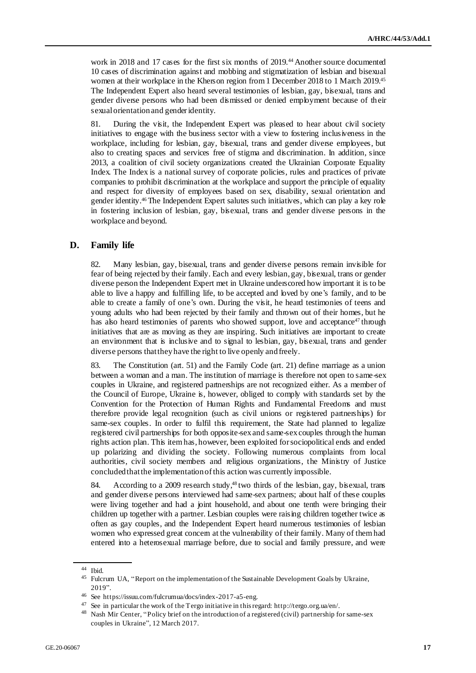work in 2018 and 17 cases for the first six months of 2019.<sup>44</sup> Another source documented 10 cases of discrimination against and mobbing and stigmatization of lesbian and bisexual women at their workplace in the Kherson region from 1 December 2018 to 1 March 2019.<sup>45</sup> The Independent Expert also heard several testimonies of lesbian, gay, bisexual, trans and gender diverse persons who had been dismissed or denied employment because of their sexual orientation and gender identity.

81. During the visit, the Independent Expert was pleased to hear about civil society initiatives to engage with the business sector with a view to fostering inclusiveness in the workplace, including for lesbian, gay, bisexual, trans and gender diverse employees, but also to creating spaces and services free of stigma and discrimination. In addition, since 2013, a coalition of civil society organizations created the Ukrainian Corporate Equality Index. The Index is a national survey of corporate policies, rules and practices of private companies to prohibit discrimination at the workplace and support the principle of equality and respect for diversity of employees based on sex, disability, sexual orientation and gender identity.<sup>46</sup> The Independent Expert salutes such initiatives, which can play a key role in fostering inclusion of lesbian, gay, bisexual, trans and gender diverse persons in the workplace and beyond.

### **D. Family life**

82. Many lesbian, gay, bisexual, trans and gender diverse persons remain invisible for fear of being rejected by their family. Each and every lesbian, gay, bisexual, trans or gender diverse person the Independent Expert met in Ukraine underscored how important it is to be able to live a happy and fulfilling life, to be accepted and loved by one's family, and to be able to create a family of one's own. During the visit, he heard testimonies of teens and young adults who had been rejected by their family and thrown out of their homes, but he has also heard testimonies of parents who showed support, love and acceptance<sup>47</sup> through initiatives that are as moving as they are inspiring. Such initiatives are important to create an environment that is inclusive and to signal to lesbian, gay, bisexual, trans and gender diverse persons that they have the right to live openly and freely.

83. The Constitution (art. 51) and the Family Code (art. 21) define marriage as a union between a woman and a man. The institution of marriage is therefore not open to same-sex couples in Ukraine, and registered partnerships are not recognized either. As a member of the Council of Europe, Ukraine is, however, obliged to comply with standards set by the Convention for the Protection of Human Rights and Fundamental Freedoms and must therefore provide legal recognition (such as civil unions or registered partnerships) for same-sex couples. In order to fulfil this requirement, the State had planned to legalize registered civil partnerships for both opposite-sex and same-sex couples through the human rights action plan. This item has, however, been exploited for sociopolitical ends and ended up polarizing and dividing the society. Following numerous complaints from local authorities, civil society members and religious organizations, the Ministry of Justice concluded that the implementation of this action was currently impossible.

84. According to a 2009 research study,<sup>48</sup> two thirds of the lesbian, gay, bisexual, trans and gender diverse persons interviewed had same-sex partners; about half of these couples were living together and had a joint household, and about one tenth were bringing their children up together with a partner. Lesbian couples were raising children together twice as often as gay couples, and the Independent Expert heard numerous testimonies of lesbian women who expressed great concern at the vulnerability of their family. Many of them had entered into a heterosexual marriage before, due to social and family pressure, and were

<sup>44</sup> Ibid.

<sup>&</sup>lt;sup>45</sup> Fulcrum UA, "Report on the implementation of the Sustainable Development Goals by Ukraine, 2019".

<sup>46</sup> See [https://issuu.com/fulcrumua/docs/index-2017-a5-eng.](https://issuu.com/fulcrumua/docs/index-2017-a5-eng)

<sup>47</sup> See in particular the work of the Tergo initiative in this regard[: http://tergo.org.ua/en/.](http://tergo.org.ua/en/)

<sup>&</sup>lt;sup>48</sup> Nash Mir Center, "Policy brief on the introduction of a registered (civil) partnership for same-sex couples in Ukraine", 12 March 2017.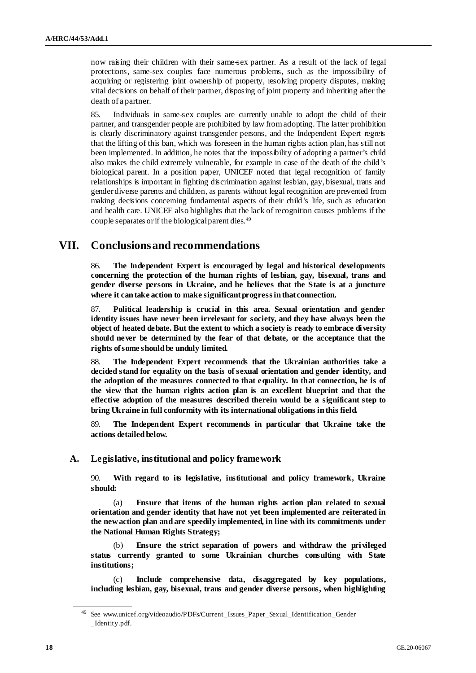now raising their children with their same-sex partner. As a result of the lack of legal protections, same-sex couples face numerous problems, such as the impossibility of acquiring or registering joint ownership of property, resolving property disputes, making vital decisions on behalf of their partner, disposing of joint property and inheriting after the death of a partner.

85. Individuals in same-sex couples are currently unable to adopt the child of their partner, and transgender people are prohibited by law from adopting. The latter prohibition is clearly discriminatory against transgender persons, and the Independent Expert regrets that the lifting of this ban, which was foreseen in the human rights action plan, has still not been implemented. In addition, he notes that the impossibility of adopting a partner's child also makes the child extremely vulnerable, for example in case of the death of the child's biological parent. In a position paper, UNICEF noted that legal recognition of family relationships is important in fighting discrimination against lesbian, gay, bisexual, trans and gender diverse parents and children, as parents without legal recognition are prevented from making decisions concerning fundamental aspects of their child's life, such as education and health care. UNICEF also highlights that the lack of recognition causes problems if the couple separates or if the biological parent dies.<sup>49</sup>

## **VII. Conclusions and recommendations**

86. **The Independent Expert is encouraged by legal and historical developments concerning the protection of the human rights of lesbian, gay, bisexual, trans and gender diverse persons in Ukraine, and he believes that the State is at a juncture where it can take action to make significant progress in that connection.**

87. **Political leadership is crucial in this area. Sexual orientation and gender identity issues have never been irrelevant for society, and they have always been the object of heated debate. But the extent to which a society is ready to embrace diversity should never be determined by the fear of that debate, or the acceptance that the rights of some should be unduly limited.**

88. **The Independent Expert recommends that the Ukrainian authorities take a decided stand for equality on the basis of sexual orientation and gender identity, and the adoption of the measures connected to that equality. In that connection, he is of the view that the human rights action plan is an excellent blueprint and that the effective adoption of the measures described therein would be a significant step to bring Ukraine in full conformity with its international obligations in this field.** 

89. **The Independent Expert recommends in particular that Ukraine take the actions detailed below.** 

#### **A. Legislative, institutional and policy framework**

90. **With regard to its legislative, institutional and policy framework, Ukraine should:**

(a) **Ensure that items of the human rights action plan related to sexual orientation and gender identity that have not yet been implemented are reiterated in the new action plan and are speedily implemented, in line with its commitments under the National Human Rights Strategy;**

(b) **Ensure the strict separation of powers and withdraw the privileged status currently granted to some Ukrainian churches consulting with State institutions;**

(c) **Include comprehensive data, disaggregated by key populations, including lesbian, gay, bisexual, trans and gender diverse persons, when highlighting** 

<sup>49</sup> See [www.unicef.org/videoaudio/PDFs/Current\\_Issues\\_Paper\\_Sexual\\_Identification\\_Gender](http://www.unicef.org/videoaudio/PDFs/Current_Issues_Paper-_Sexual_Identification_Gender_Identity.pdf) [\\_Identity.pdf](http://www.unicef.org/videoaudio/PDFs/Current_Issues_Paper-_Sexual_Identification_Gender_Identity.pdf).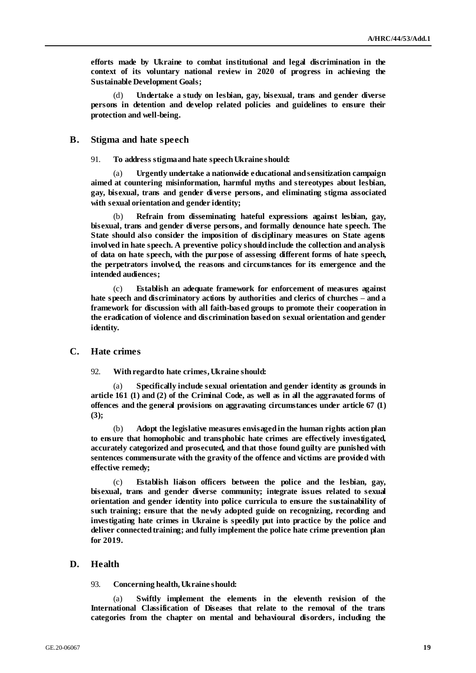**efforts made by Ukraine to combat institutional and legal discrimination in the context of its voluntary national review in 2020 of progress in achieving the Sustainable Development Goals;**

(d) **Undertake a study on lesbian, gay, bisexual, trans and gender diverse persons in detention and develop related policies and guidelines to ensure their protection and well-being.** 

#### **B. Stigma and hate speech**

91. **To address stigma and hate speech Ukraine should:**

(a) **Urgently undertake a nationwide educational and sensitization campaign aimed at countering misinformation, harmful myths and stereotypes about lesbian, gay, bisexual, trans and gender diverse persons, and eliminating stigma associated with sexual orientation and gender identity;** 

(b) **Refrain from disseminating hateful expressions against lesbian, gay, bisexual, trans and gender diverse persons, and formally denounce hate speech. The State should also consider the imposition of disciplinary measures on State agents involved in hate speech. A preventive policy should include the collection and analysis of data on hate speech, with the purpose of assessing different forms of hate speech, the perpetrators involved, the reasons and circumstances for its emergence and the intended audiences;**

(c) **Establish an adequate framework for enforcement of measures against hate speech and discriminatory actions by authorities and clerics of churches – and a framework for discussion with all faith-based groups to promote their cooperation in the eradication of violence and discrimination based on sexual orientation and gender identity.**

#### **C. Hate crimes**

92. **With regard to hate crimes, Ukraine should:**

(a) **Specifically include sexual orientation and gender identity as grounds in article 161 (1) and (2) of the Criminal Code, as well as in all the aggravated forms of offences and the general provisions on aggravating circumstances under article 67 (1) (3);**

(b) **Adopt the legislative measures envisaged in the human rights action plan to ensure that homophobic and transphobic hate crimes are effectively investigated, accurately categorized and prosecuted, and that those found guilty are punished with sentences commensurate with the gravity of the offence and victims are provided with effective remedy;**

Establish liaison officers between the police and the lesbian, gay, **bisexual, trans and gender diverse community; integrate issues related to sexual orientation and gender identity into police curricula to ensure the sustainability of such training; ensure that the newly adopted guide on recognizing, recording and investigating hate crimes in Ukraine is speedily put into practice by the police and deliver connected training; and fully implement the police hate crime prevention plan for 2019.**

#### **D. Health**

93. **Concerning health, Ukraine should:**

(a) **Swiftly implement the elements in the eleventh revision of the International Classification of Diseases that relate to the removal of the trans categories from the chapter on mental and behavioural disorders, including the**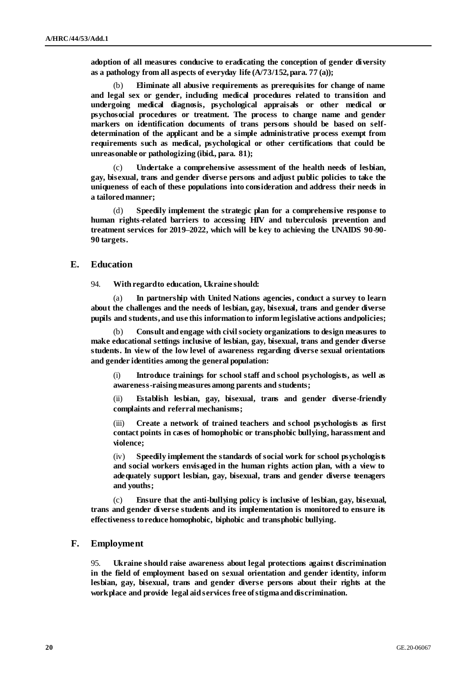**adoption of all measures conducive to eradicating the conception of gender diversity as a pathology from all aspects of everyday life (A/73/152, para. 77 (a));**

(b) **Eliminate all abusive requirements as prerequisites for change of name and legal sex or gender, including medical procedures related to transition and undergoing medical diagnosis, psychological appraisals or other medical or psychosocial procedures or treatment. The process to change name and gender markers on identification documents of trans persons should be based on selfdetermination of the applicant and be a simple administrative process exempt from requirements such as medical, psychological or other certifications that could be unreasonable or pathologizing (ibid., para. 81);** 

(c) **Undertake a comprehensive assessment of the health needs of lesbian, gay, bisexual, trans and gender diverse persons and adjust public policies to take the uniqueness of each of these populations into consideration and address their needs in a tailored manner;**

Speedily implement the strategic plan for a comprehensive response to **human rights-related barriers to accessing HIV and tuberculosis prevention and treatment services for 2019–2022, which will be key to achieving the UNAIDS 90-90- 90 targets.**

### **E. Education**

94. **With regard to education, Ukraine should:**

In partnership with United Nations agencies, conduct a survey to learn **about the challenges and the needs of lesbian, gay, bisexual, trans and gender diverse pupils and students, and use this information to inform legislative actions and policies;**

(b) **Consult and engage with civil society organizations to design measures to make educational settings inclusive of lesbian, gay, bisexual, trans and gender diverse students. In view of the low level of awareness regarding diverse sexual orientations and gender identities among the general population:** 

(i) **Introduce trainings for school staff and school psychologists, as well as awareness-raising measures among parents and students;** 

(ii) **Establish lesbian, gay, bisexual, trans and gender diverse-friendly complaints and referral mechanisms;**

(iii) **Create a network of trained teachers and school psychologists as first contact points in cases of homophobic or transphobic bullying, harassment and violence;** 

(iv) **Speedily implement the standards of social work for school psychologists and social workers envisaged in the human rights action plan, with a view to adequately support lesbian, gay, bisexual, trans and gender diverse teenagers and youths;**

(c) **Ensure that the anti-bullying policy is inclusive of lesbian, gay, bisexual, trans and gender diverse students and its implementation is monitored to ensure its effectiveness to reduce homophobic, biphobic and transphobic bullying.**

#### **F. Employment**

95. **Ukraine should raise awareness about legal protections against discrimination in the field of employment based on sexual orientation and gender identity, inform lesbian, gay, bisexual, trans and gender diverse persons about their rights at the workplace and provide legal aid services free of stigma and discrimination.**